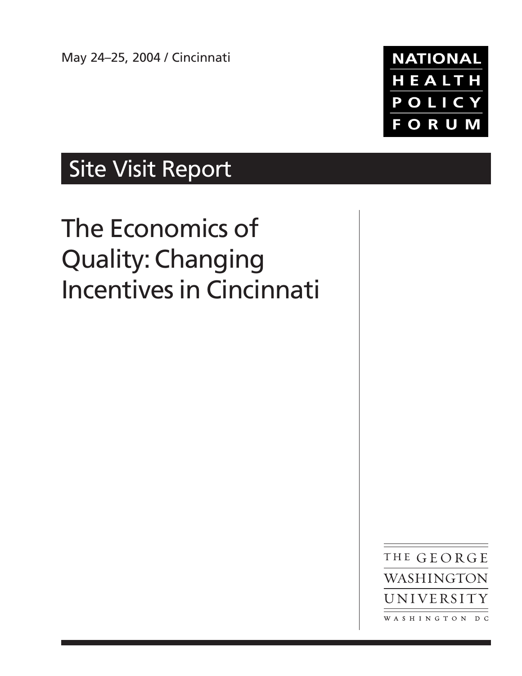

# Site Visit Report

# The Economics of Quality: Changing Incentives in Cincinnati

THE GEORGE WASHINGTON UNIVERSITY WASHINGTON DC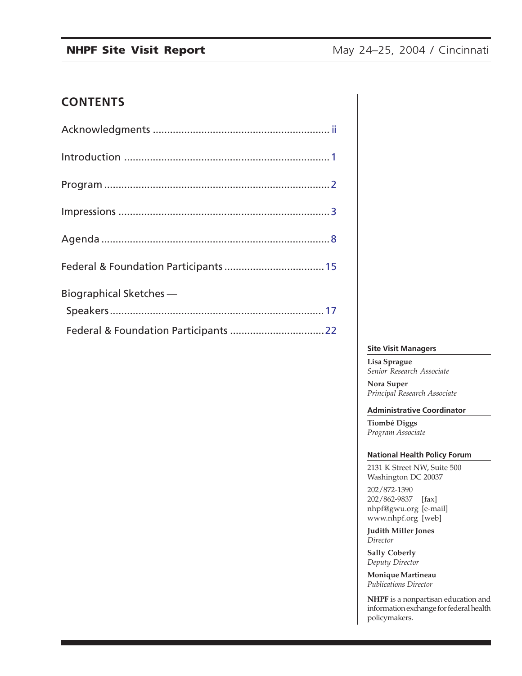### **CONTENTS**

| Biographical Sketches - |  |
|-------------------------|--|
|                         |  |
|                         |  |

#### **Site Visit Managers**

**Lisa Sprague** *Senior Research Associate*

**Nora Super** *Principal Research Associate*

#### **Administrative Coordinator**

**Tiombé Diggs** *Program Associate*

#### **National Health Policy Forum**

2131 K Street NW, Suite 500 Washington DC 20037

202/872-1390 202/862-9837 [fax] nhpf@gwu.org [e-mail] www.nhpf.org [web]

**Judith Miller Jones** *Director*

**Sally Coberly** *Deputy Director*

**Monique Martineau** *Publications Director*

**NHPF** is a nonpartisan education and information exchange for federal health policymakers.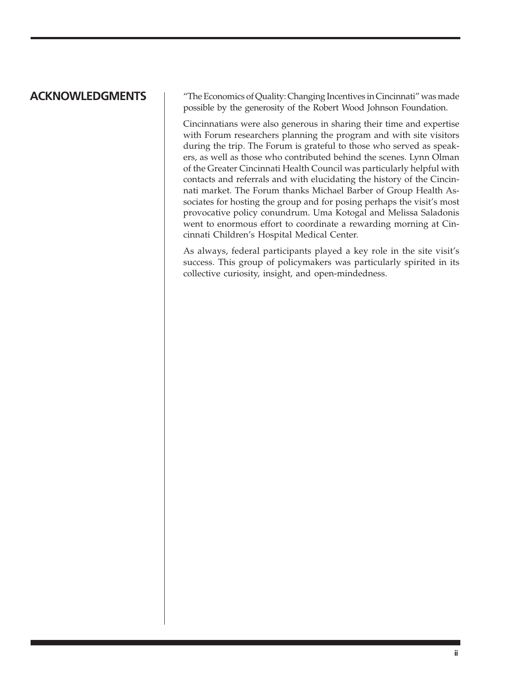#### <span id="page-2-0"></span>**ACKNOWLEDGMENTS**

"The Economics of Quality: Changing Incentives in Cincinnati" was made possible by the generosity of the Robert Wood Johnson Foundation.

Cincinnatians were also generous in sharing their time and expertise with Forum researchers planning the program and with site visitors during the trip. The Forum is grateful to those who served as speakers, as well as those who contributed behind the scenes. Lynn Olman of the Greater Cincinnati Health Council was particularly helpful with contacts and referrals and with elucidating the history of the Cincinnati market. The Forum thanks Michael Barber of Group Health Associates for hosting the group and for posing perhaps the visit's most provocative policy conundrum. Uma Kotogal and Melissa Saladonis went to enormous effort to coordinate a rewarding morning at Cincinnati Children's Hospital Medical Center.

As always, federal participants played a key role in the site visit's success. This group of policymakers was particularly spirited in its collective curiosity, insight, and open-mindedness.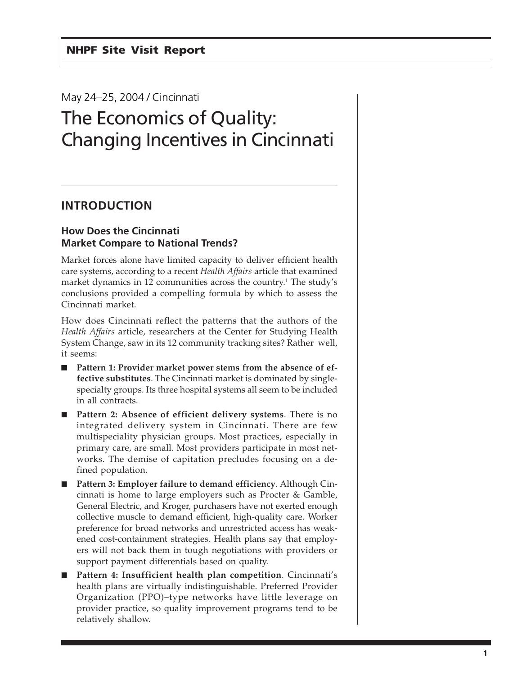## May 24–25, 2004 / Cincinnati The Economics of Quality: Changing Incentives in Cincinnati

#### **INTRODUCTION**

#### **How Does the Cincinnati Market Compare to National Trends?**

Market forces alone have limited capacity to deliver efficient health care systems, according to a recent *Health Affairs* article that examined market dynamics in 12 communities across the country.<sup>1</sup> The study's conclusions provided a compelling formula by which to assess the Cincinnati market.

How does Cincinnati reflect the patterns that the authors of the *Health Affairs* article, researchers at the Center for Studying Health System Change, saw in its 12 community tracking sites? Rather well, it seems:

- Pattern 1: Provider market power stems from the absence of ef**fective substitutes**. The Cincinnati market is dominated by singlespecialty groups. Its three hospital systems all seem to be included in all contracts.
- **Pattern 2: Absence of efficient delivery systems**. There is no integrated delivery system in Cincinnati. There are few multispeciality physician groups. Most practices, especially in primary care, are small. Most providers participate in most networks. The demise of capitation precludes focusing on a defined population.
- **Pattern 3: Employer failure to demand efficiency**. Although Cincinnati is home to large employers such as Procter & Gamble, General Electric, and Kroger, purchasers have not exerted enough collective muscle to demand efficient, high-quality care. Worker preference for broad networks and unrestricted access has weakened cost-containment strategies. Health plans say that employers will not back them in tough negotiations with providers or support payment differentials based on quality.
- **Pattern 4: Insufficient health plan competition**. Cincinnati's health plans are virtually indistinguishable. Preferred Provider Organization (PPO)–type networks have little leverage on provider practice, so quality improvement programs tend to be relatively shallow.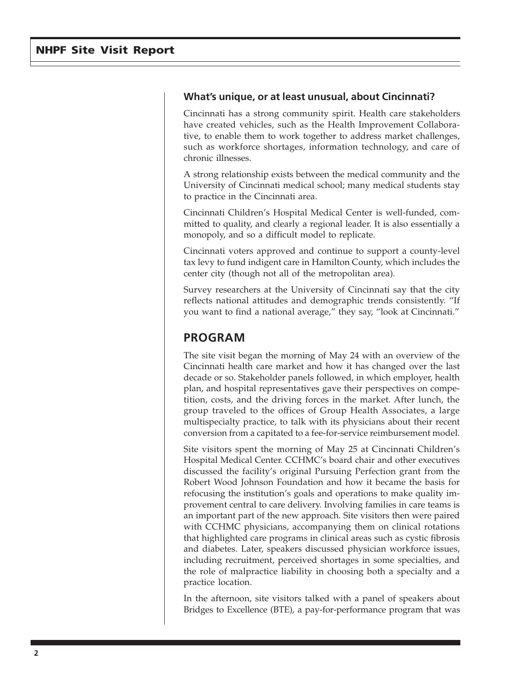#### **What's unique, or at least unusual, about Cincinnati?**

Cincinnati has a strong community spirit. Health care stakeholders have created vehicles, such as the Health Improvement Collaborative, to enable them to work together to address market challenges, such as workforce shortages, information technology, and care of chronic illnesses.

A strong relationship exists between the medical community and the University of Cincinnati medical school; many medical students stay to practice in the Cincinnati area.

Cincinnati Children's Hospital Medical Center is well-funded, committed to quality, and clearly a regional leader. It is also essentially a monopoly, and so a difficult model to replicate.

Cincinnati voters approved and continue to support a county-level tax levy to fund indigent care in Hamilton County, which includes the center city (though not all of the metropolitan area).

Survey researchers at the University of Cincinnati say that the city reflects national attitudes and demographic trends consistently. "If you want to find a national average," they say, "look at Cincinnati."

#### **PROGRAM**

The site visit began the morning of May 24 with an overview of the Cincinnati health care market and how it has changed over the last decade or so. Stakeholder panels followed, in which employer, health plan, and hospital representatives gave their perspectives on competition, costs, and the driving forces in the market. After lunch, the group traveled to the offices of Group Health Associates, a large multispecialty practice, to talk with its physicians about their recent conversion from a capitated to a fee-for-service reimbursement model.

Site visitors spent the morning of May 25 at Cincinnati Children's Hospital Medical Center. CCHMC's board chair and other executives discussed the facility's original Pursuing Perfection grant from the Robert Wood Johnson Foundation and how it became the basis for refocusing the institution's goals and operations to make quality improvement central to care delivery. Involving families in care teams is an important part of the new approach. Site visitors then were paired with CCHMC physicians, accompanying them on clinical rotations that highlighted care programs in clinical areas such as cystic fibrosis and diabetes. Later, speakers discussed physician workforce issues, including recruitment, perceived shortages in some specialties, and the role of malpractice liability in choosing both a specialty and a practice location.

In the afternoon, site visitors talked with a panel of speakers about Bridges to Excellence (BTE), a pay-for-performance program that was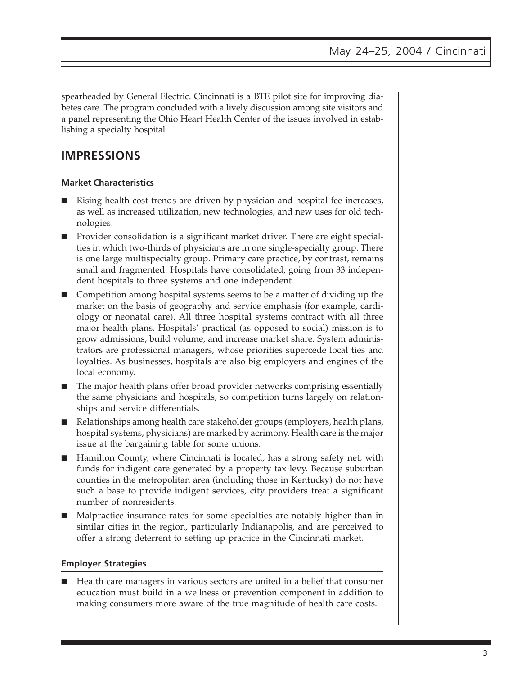spearheaded by General Electric. Cincinnati is a BTE pilot site for improving diabetes care. The program concluded with a lively discussion among site visitors and a panel representing the Ohio Heart Health Center of the issues involved in establishing a specialty hospital.

### **IMPRESSIONS**

#### **Market Characteristics**

- Rising health cost trends are driven by physician and hospital fee increases, as well as increased utilization, new technologies, and new uses for old technologies.
- Provider consolidation is a significant market driver. There are eight specialties in which two-thirds of physicians are in one single-specialty group. There is one large multispecialty group. Primary care practice, by contrast, remains small and fragmented. Hospitals have consolidated, going from 33 independent hospitals to three systems and one independent.
- Competition among hospital systems seems to be a matter of dividing up the market on the basis of geography and service emphasis (for example, cardiology or neonatal care). All three hospital systems contract with all three major health plans. Hospitals' practical (as opposed to social) mission is to grow admissions, build volume, and increase market share. System administrators are professional managers, whose priorities supercede local ties and loyalties. As businesses, hospitals are also big employers and engines of the local economy.
- The major health plans offer broad provider networks comprising essentially the same physicians and hospitals, so competition turns largely on relationships and service differentials.
- Relationships among health care stakeholder groups (employers, health plans, hospital systems, physicians) are marked by acrimony. Health care is the major issue at the bargaining table for some unions.
- Hamilton County, where Cincinnati is located, has a strong safety net, with funds for indigent care generated by a property tax levy. Because suburban counties in the metropolitan area (including those in Kentucky) do not have such a base to provide indigent services, city providers treat a significant number of nonresidents.
- Malpractice insurance rates for some specialties are notably higher than in similar cities in the region, particularly Indianapolis, and are perceived to offer a strong deterrent to setting up practice in the Cincinnati market.

#### **Employer Strategies**

■ Health care managers in various sectors are united in a belief that consumer education must build in a wellness or prevention component in addition to making consumers more aware of the true magnitude of health care costs.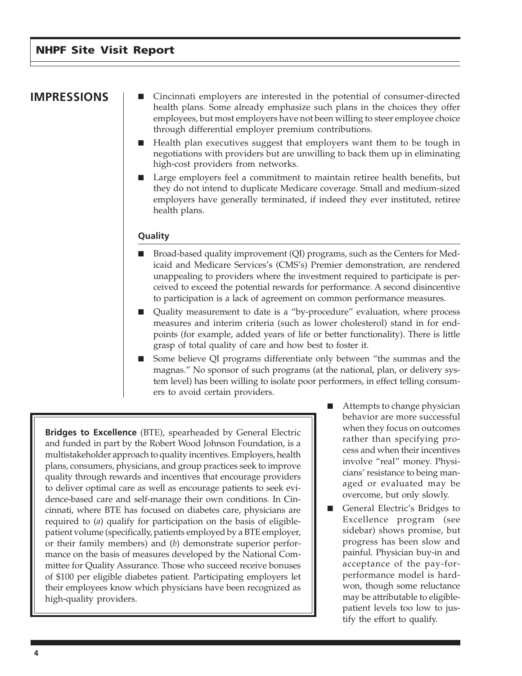- **IMPRESSIONS** Cincinnati employers are interested in the potential of consumer-directed health plans. Some already emphasize such plans in the choices they offer employees, but most employers have not been willing to steer employee choice through differential employer premium contributions.
	- Health plan executives suggest that employers want them to be tough in negotiations with providers but are unwilling to back them up in eliminating high-cost providers from networks.
	- Large employers feel a commitment to maintain retiree health benefits, but they do not intend to duplicate Medicare coverage. Small and medium-sized employers have generally terminated, if indeed they ever instituted, retiree health plans.

#### **Quality**

- Broad-based quality improvement (QI) programs, such as the Centers for Medicaid and Medicare Services's (CMS's) Premier demonstration, are rendered unappealing to providers where the investment required to participate is perceived to exceed the potential rewards for performance. A second disincentive to participation is a lack of agreement on common performance measures.
- Quality measurement to date is a "by-procedure" evaluation, where process measures and interim criteria (such as lower cholesterol) stand in for endpoints (for example, added years of life or better functionality). There is little grasp of total quality of care and how best to foster it.
- Some believe QI programs differentiate only between "the summas and the magnas." No sponsor of such programs (at the national, plan, or delivery system level) has been willing to isolate poor performers, in effect telling consumers to avoid certain providers.

**Bridges to Excellence** (BTE), spearheaded by General Electric and funded in part by the Robert Wood Johnson Foundation, is a multistakeholder approach to quality incentives. Employers, health plans, consumers, physicians, and group practices seek to improve quality through rewards and incentives that encourage providers to deliver optimal care as well as encourage patients to seek evidence-based care and self-manage their own conditions. In Cincinnati, where BTE has focused on diabetes care, physicians are required to (*a*) qualify for participation on the basis of eligiblepatient volume (specifically, patients employed by a BTE employer, or their family members) and (*b*) demonstrate superior performance on the basis of measures developed by the National Committee for Quality Assurance. Those who succeed receive bonuses of \$100 per eligible diabetes patient. Participating employers let their employees know which physicians have been recognized as high-quality providers.

- Attempts to change physician behavior are more successful when they focus on outcomes rather than specifying process and when their incentives involve "real" money. Physicians' resistance to being managed or evaluated may be overcome, but only slowly.
- General Electric's Bridges to Excellence program (see sidebar) shows promise, but progress has been slow and painful. Physician buy-in and acceptance of the pay-forperformance model is hardwon, though some reluctance may be attributable to eligiblepatient levels too low to justify the effort to qualify.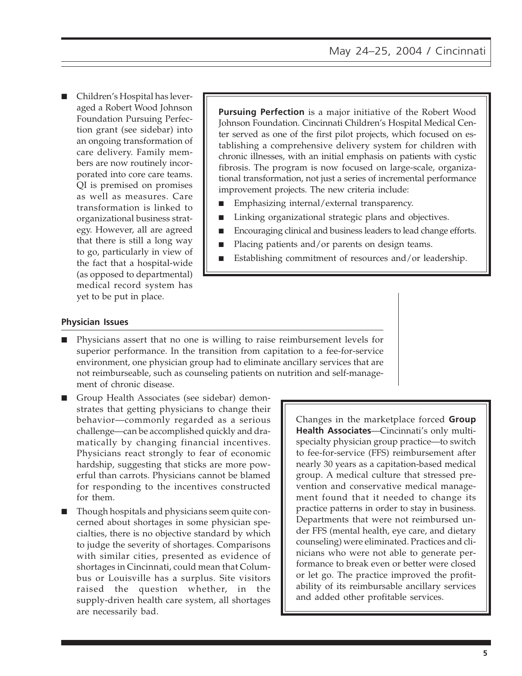Children's Hospital has leveraged a Robert Wood Johnson Foundation Pursuing Perfection grant (see sidebar) into an ongoing transformation of care delivery. Family members are now routinely incorporated into core care teams. QI is premised on promises as well as measures. Care transformation is linked to organizational business strategy. However, all are agreed that there is still a long way to go, particularly in view of the fact that a hospital-wide (as opposed to departmental) medical record system has yet to be put in place.

**Pursuing Perfection** is a major initiative of the Robert Wood Johnson Foundation. Cincinnati Children's Hospital Medical Center served as one of the first pilot projects, which focused on establishing a comprehensive delivery system for children with chronic illnesses, with an initial emphasis on patients with cystic fibrosis. The program is now focused on large-scale, organizational transformation, not just a series of incremental performance improvement projects. The new criteria include:

- Emphasizing internal/external transparency.
- Linking organizational strategic plans and objectives.
- Encouraging clinical and business leaders to lead change efforts.
- Placing patients and/or parents on design teams.
- Establishing commitment of resources and/or leadership.

#### **Physician Issues**

- Physicians assert that no one is willing to raise reimbursement levels for superior performance. In the transition from capitation to a fee-for-service environment, one physician group had to eliminate ancillary services that are not reimburseable, such as counseling patients on nutrition and self-management of chronic disease.
- Group Health Associates (see sidebar) demonstrates that getting physicians to change their behavior—commonly regarded as a serious challenge—can be accomplished quickly and dramatically by changing financial incentives. Physicians react strongly to fear of economic hardship, suggesting that sticks are more powerful than carrots. Physicians cannot be blamed for responding to the incentives constructed for them.
- Though hospitals and physicians seem quite concerned about shortages in some physician specialties, there is no objective standard by which to judge the severity of shortages. Comparisons with similar cities, presented as evidence of shortages in Cincinnati, could mean that Columbus or Louisville has a surplus. Site visitors raised the question whether, in the supply-driven health care system, all shortages are necessarily bad.

Changes in the marketplace forced **Group Health Associates**—Cincinnati's only multispecialty physician group practice—to switch to fee-for-service (FFS) reimbursement after nearly 30 years as a capitation-based medical group. A medical culture that stressed prevention and conservative medical management found that it needed to change its practice patterns in order to stay in business. Departments that were not reimbursed under FFS (mental health, eye care, and dietary counseling) were eliminated. Practices and clinicians who were not able to generate performance to break even or better were closed or let go. The practice improved the profitability of its reimbursable ancillary services and added other profitable services.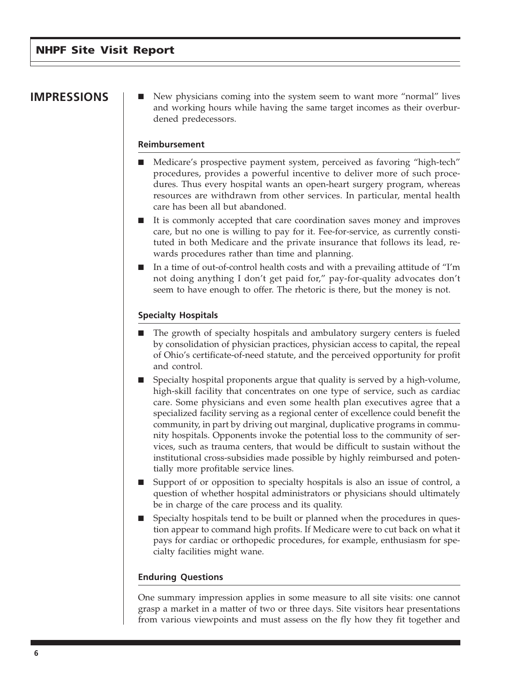**IMPRESSIONS** │ ■ New physicians coming into the system seem to want more "normal" lives and working hours while having the same target incomes as their overburdened predecessors.

#### **Reimbursement**

- Medicare's prospective payment system, perceived as favoring "high-tech" procedures, provides a powerful incentive to deliver more of such procedures. Thus every hospital wants an open-heart surgery program, whereas resources are withdrawn from other services. In particular, mental health care has been all but abandoned.
- It is commonly accepted that care coordination saves money and improves care, but no one is willing to pay for it. Fee-for-service, as currently constituted in both Medicare and the private insurance that follows its lead, rewards procedures rather than time and planning.
- In a time of out-of-control health costs and with a prevailing attitude of "I'm not doing anything I don't get paid for," pay-for-quality advocates don't seem to have enough to offer. The rhetoric is there, but the money is not.

#### **Specialty Hospitals**

- The growth of specialty hospitals and ambulatory surgery centers is fueled by consolidation of physician practices, physician access to capital, the repeal of Ohio's certificate-of-need statute, and the perceived opportunity for profit and control.
- Specialty hospital proponents argue that quality is served by a high-volume, high-skill facility that concentrates on one type of service, such as cardiac care. Some physicians and even some health plan executives agree that a specialized facility serving as a regional center of excellence could benefit the community, in part by driving out marginal, duplicative programs in community hospitals. Opponents invoke the potential loss to the community of services, such as trauma centers, that would be difficult to sustain without the institutional cross-subsidies made possible by highly reimbursed and potentially more profitable service lines.
- Support of or opposition to specialty hospitals is also an issue of control, a question of whether hospital administrators or physicians should ultimately be in charge of the care process and its quality.
- Specialty hospitals tend to be built or planned when the procedures in question appear to command high profits. If Medicare were to cut back on what it pays for cardiac or orthopedic procedures, for example, enthusiasm for specialty facilities might wane.

#### **Enduring Questions**

One summary impression applies in some measure to all site visits: one cannot grasp a market in a matter of two or three days. Site visitors hear presentations from various viewpoints and must assess on the fly how they fit together and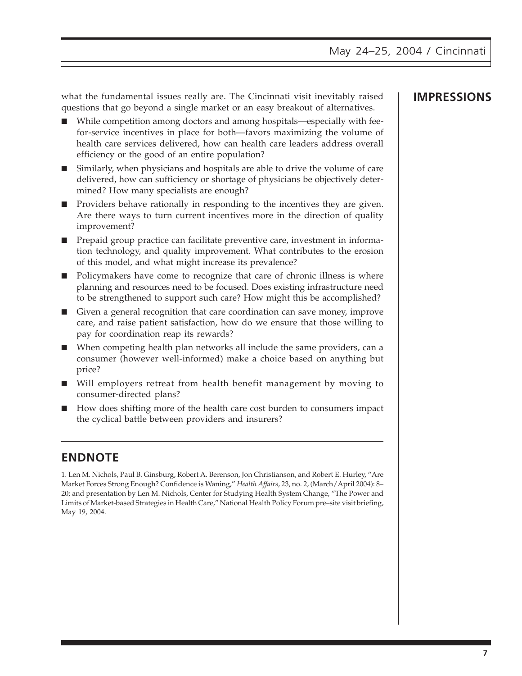what the fundamental issues really are. The Cincinnati visit inevitably raised | **IMPRESSIONS** questions that go beyond a single market or an easy breakout of alternatives.

- While competition among doctors and among hospitals—especially with feefor-service incentives in place for both—favors maximizing the volume of health care services delivered, how can health care leaders address overall efficiency or the good of an entire population?
- Similarly, when physicians and hospitals are able to drive the volume of care delivered, how can sufficiency or shortage of physicians be objectively determined? How many specialists are enough?
- Providers behave rationally in responding to the incentives they are given. Are there ways to turn current incentives more in the direction of quality improvement?
- Prepaid group practice can facilitate preventive care, investment in information technology, and quality improvement. What contributes to the erosion of this model, and what might increase its prevalence?
- Policymakers have come to recognize that care of chronic illness is where planning and resources need to be focused. Does existing infrastructure need to be strengthened to support such care? How might this be accomplished?
- Given a general recognition that care coordination can save money, improve care, and raise patient satisfaction, how do we ensure that those willing to pay for coordination reap its rewards?
- When competing health plan networks all include the same providers, can a consumer (however well-informed) make a choice based on anything but price?
- Will employers retreat from health benefit management by moving to consumer-directed plans?
- How does shifting more of the health care cost burden to consumers impact the cyclical battle between providers and insurers?

### **ENDNOTE**

1. Len M. Nichols, Paul B. Ginsburg, Robert A. Berenson, Jon Christianson, and Robert E. Hurley, "Are Market Forces Strong Enough? Confidence is Waning," *Health Affairs*, 23, no. 2, (March/April 2004): 8– 20; and presentation by Len M. Nichols, Center for Studying Health System Change, "The Power and Limits of Market-based Strategies in Health Care," National Health Policy Forum pre–site visit briefing, May 19, 2004.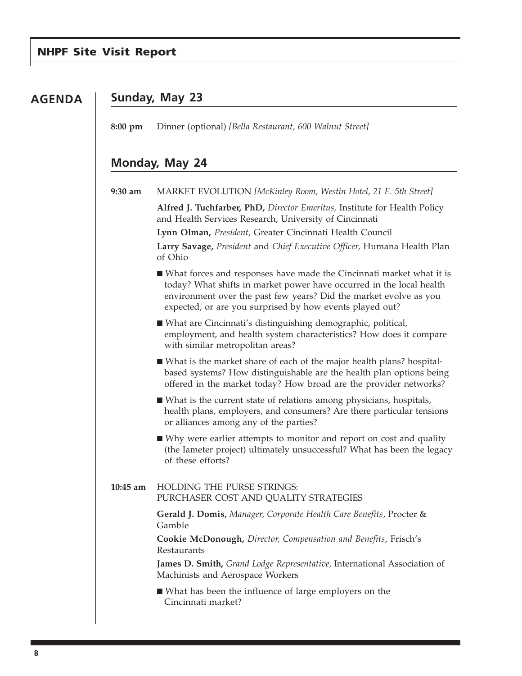#### **AGENDA Sunday, May 23**

**8:00 pm** Dinner (optional) *[Bella Restaurant, 600 Walnut Street]*

#### **Monday, May 24**

**9:30 am** MARKET EVOLUTION *[McKinley Room, Westin Hotel, 21 E. 5th Street]*

**Alfred J. Tuchfarber, PhD,** *Director Emeritus,* Institute for Health Policy and Health Services Research, University of Cincinnati

**Lynn Olman,** *President,* Greater Cincinnati Health Council

**Larry Savage,** *President* and *Chief Executive Officer,* Humana Health Plan of Ohio

- What forces and responses have made the Cincinnati market what it is today? What shifts in market power have occurred in the local health environment over the past few years? Did the market evolve as you expected, or are you surprised by how events played out?
- What are Cincinnati's distinguishing demographic, political, employment, and health system characteristics? How does it compare with similar metropolitan areas?
- What is the market share of each of the major health plans? hospitalbased systems? How distinguishable are the health plan options being offered in the market today? How broad are the provider networks?
- What is the current state of relations among physicians, hospitals, health plans, employers, and consumers? Are there particular tensions or alliances among any of the parties?
- Why were earlier attempts to monitor and report on cost and quality (the Iameter project) ultimately unsuccessful? What has been the legacy of these efforts?

#### **10:45 am** HOLDING THE PURSE STRINGS: PURCHASER COST AND QUALITY STRATEGIES

**Gerald J. Domis,** *Manager, Corporate Health Care Benefits*, Procter & Gamble

**Cookie McDonough,** *Director, Compensation and Benefits*, Frisch's Restaurants

**James D. Smith,** *Grand Lodge Representative,* International Association of Machinists and Aerospace Workers

■ What has been the influence of large employers on the Cincinnati market?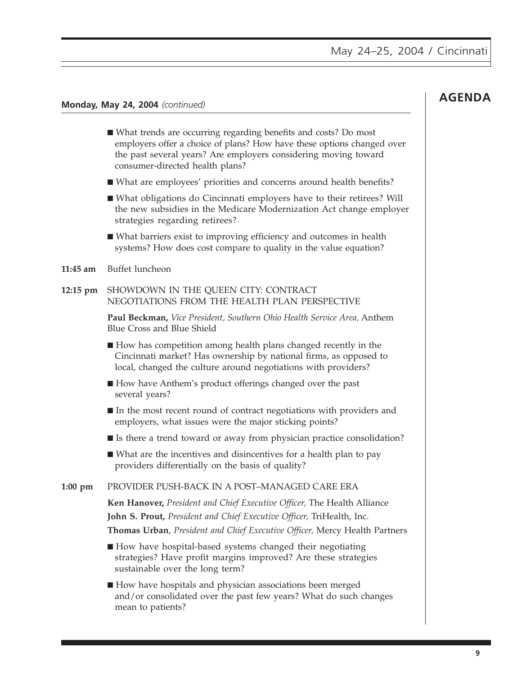#### **Monday, May 24, 2004** *(continued)*

- What trends are occurring regarding benefits and costs? Do most employers offer a choice of plans? How have these options changed over the past several years? Are employers considering moving toward consumer-directed health plans?
- What are employees' priorities and concerns around health benefits?
- What obligations do Cincinnati employers have to their retirees? Will the new subsidies in the Medicare Modernization Act change employer strategies regarding retirees?
- What barriers exist to improving efficiency and outcomes in health systems? How does cost compare to quality in the value equation?
- **11:45 am** Buffet luncheon

#### **12:15 pm** SHOWDOWN IN THE QUEEN CITY: CONTRACT NEGOTIATIONS FROM THE HEALTH PLAN PERSPECTIVE

**Paul Beckman,** *Vice President, Southern Ohio Health Service Area,* Anthem Blue Cross and Blue Shield

- How has competition among health plans changed recently in the Cincinnati market? Has ownership by national firms, as opposed to local, changed the culture around negotiations with providers?
- How have Anthem's product offerings changed over the past several years?
- In the most recent round of contract negotiations with providers and employers, what issues were the major sticking points?
- Is there a trend toward or away from physician practice consolidation?
- What are the incentives and disincentives for a health plan to pay providers differentially on the basis of quality?

#### **1:00 pm** PROVIDER PUSH-BACK IN A POST–MANAGED CARE ERA

**Ken Hanover,** *President and Chief Executive Officer,* The Health Alliance **John S. Prout,** *President and Chief Executive Officer,* TriHealth, Inc. **Thomas Urban**, *President and Chief Executive Officer,* Mercy Health Partners

- How have hospital-based systems changed their negotiating strategies? Have profit margins improved? Are these strategies sustainable over the long term?
- How have hospitals and physician associations been merged and/or consolidated over the past few years? What do such changes mean to patients?

#### **AGENDA**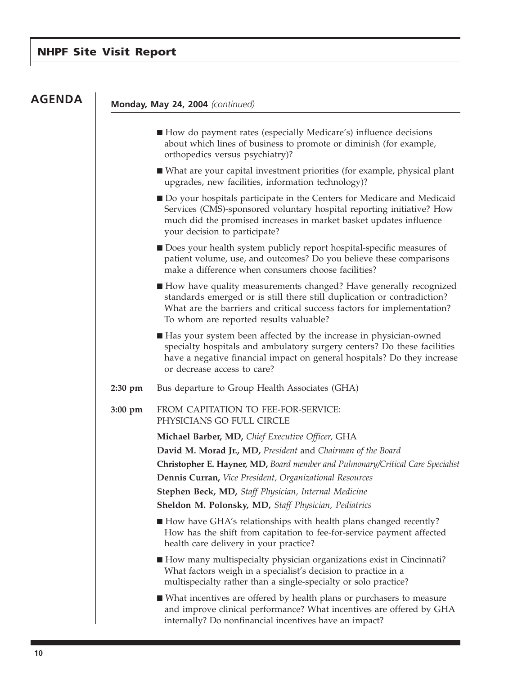#### **NHPF Site Visit Report**

#### **AGENDA**

#### **Monday, May 24, 2004** *(continued)*

- How do payment rates (especially Medicare's) influence decisions about which lines of business to promote or diminish (for example, orthopedics versus psychiatry)?
- What are your capital investment priorities (for example, physical plant upgrades, new facilities, information technology)?
- Do your hospitals participate in the Centers for Medicare and Medicaid Services (CMS)-sponsored voluntary hospital reporting initiative? How much did the promised increases in market basket updates influence your decision to participate?
- Does your health system publicly report hospital-specific measures of patient volume, use, and outcomes? Do you believe these comparisons make a difference when consumers choose facilities?
- How have quality measurements changed? Have generally recognized standards emerged or is still there still duplication or contradiction? What are the barriers and critical success factors for implementation? To whom are reported results valuable?
- Has your system been affected by the increase in physician-owned specialty hospitals and ambulatory surgery centers? Do these facilities have a negative financial impact on general hospitals? Do they increase or decrease access to care?
- **2:30 pm** Bus departure to Group Health Associates (GHA)
- **3:00 pm** FROM CAPITATION TO FEE-FOR-SERVICE: PHYSICIANS GO FULL CIRCLE
	- **Michael Barber, MD,** *Chief Executive Officer,* GHA **David M. Morad Jr., MD,** *President* and *Chairman of the Board* **Christopher E. Hayner, MD,** *Board member and Pulmonary/Critical Care Specialist* **Dennis Curran,** *Vice President, Organizational Resources* **Stephen Beck, MD,** *Staff Physician, Internal Medicine* **Sheldon M. Polonsky, MD,** *Staff Physician, Pediatrics*
		- How have GHA's relationships with health plans changed recently? How has the shift from capitation to fee-for-service payment affected health care delivery in your practice?
		- How many multispecialty physician organizations exist in Cincinnati? What factors weigh in a specialist's decision to practice in a multispecialty rather than a single-specialty or solo practice?
		- What incentives are offered by health plans or purchasers to measure and improve clinical performance? What incentives are offered by GHA internally? Do nonfinancial incentives have an impact?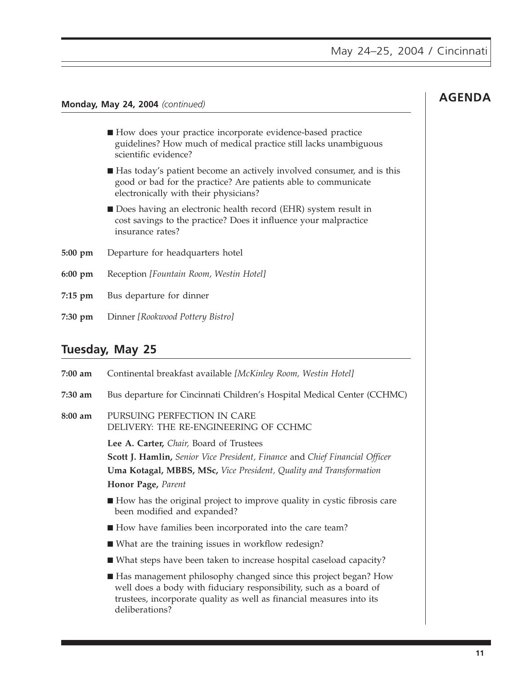**AGENDA**

#### **Monday, May 24, 2004** *(continued)*

- How does your practice incorporate evidence-based practice guidelines? How much of medical practice still lacks unambiguous scientific evidence?
- Has today's patient become an actively involved consumer, and is this good or bad for the practice? Are patients able to communicate electronically with their physicians?
- Does having an electronic health record (EHR) system result in cost savings to the practice? Does it influence your malpractice insurance rates?
- **5:00 pm** Departure for headquarters hotel
- **6:00 pm** Reception *[Fountain Room, Westin Hotel]*
- **7:15 pm** Bus departure for dinner
- **7:30 pm** Dinner *[Rookwood Pottery Bistro]*

#### **Tuesday, May 25**

| $7:00 \text{ am}$ | Continental breakfast available [McKinley Room, Westin Hotel]                                                                                                                                                                     |
|-------------------|-----------------------------------------------------------------------------------------------------------------------------------------------------------------------------------------------------------------------------------|
| $7:30$ am         | Bus departure for Cincinnati Children's Hospital Medical Center (CCHMC)                                                                                                                                                           |
| 8:00 am           | PURSUING PERFECTION IN CARE<br>DELIVERY: THE RE-ENGINEERING OF CCHMC                                                                                                                                                              |
|                   | Lee A. Carter, Chair, Board of Trustees                                                                                                                                                                                           |
|                   | <b>Scott J. Hamlin,</b> Senior Vice President, Finance and Chief Financial Officer                                                                                                                                                |
|                   | <b>Uma Kotagal, MBBS, MSc, Vice President, Quality and Transformation</b>                                                                                                                                                         |
|                   | Honor Page, Parent                                                                                                                                                                                                                |
|                   | ■ How has the original project to improve quality in cystic fibrosis care<br>been modified and expanded?                                                                                                                          |
|                   | ■ How have families been incorporated into the care team?                                                                                                                                                                         |
|                   | ■ What are the training issues in workflow redesign?                                                                                                                                                                              |
|                   | ■ What steps have been taken to increase hospital caseload capacity?                                                                                                                                                              |
|                   | ■ Has management philosophy changed since this project began? How<br>well does a body with fiduciary responsibility, such as a board of<br>trustees, incorporate quality as well as financial measures into its<br>deliberations? |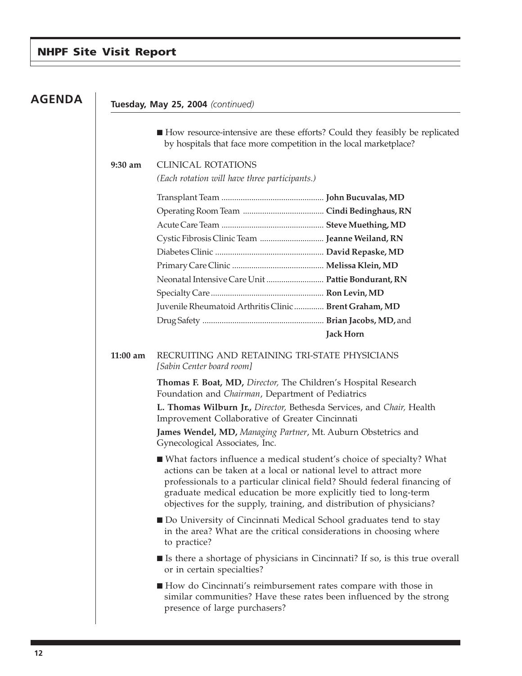#### **NHPF Site Visit Report**

### **AGENDA** ■ How resource-intensive are these efforts? Could they feasibly be replicated by hospitals that face more competition in the local marketplace? **9:30 am** CLINICAL ROTATIONS *(Each rotation will have three participants.)* Transplant Team ................................................ **John Bucuvalas, MD** Operating Room Team ...................................... **Cindi Bedinghaus, RN** Acute Care Team ................................................ **Steve Muething, MD** Cystic Fibrosis Clinic Team .............................. **Jeanne Weiland, RN** Diabetes Clinic ................................................... **David Repaske, MD** Primary Care Clinic ........................................... **Melissa Klein, MD** Neonatal Intensive Care Unit ........................... **Pattie Bondurant, RN** Specialty Care..................................................... **Ron Levin, MD** Juvenile Rheumatoid Arthritis Clinic .............. **Brent Graham, MD** Drug Safety ......................................................... **Brian Jacobs, MD,** and **Jack Horn 11:00 am** RECRUITING AND RETAINING TRI-STATE PHYSICIANS *[Sabin Center board room]* **Thomas F. Boat, MD,** *Director,* The Children's Hospital Research Foundation and *Chairman*, Department of Pediatrics **L. Thomas Wilburn Jr.,** *Director,* Bethesda Services, and *Chair,* Health Improvement Collaborative of Greater Cincinnati **James Wendel, MD,** *Managing Partner*, Mt. Auburn Obstetrics and Gynecological Associates, Inc. ■ What factors influence a medical student's choice of specialty? What actions can be taken at a local or national level to attract more professionals to a particular clinical field? Should federal financing of graduate medical education be more explicitly tied to long-term objectives for the supply, training, and distribution of physicians? ■ Do University of Cincinnati Medical School graduates tend to stay in the area? What are the critical considerations in choosing where to practice? ■ Is there a shortage of physicians in Cincinnati? If so, is this true overall or in certain specialties? ■ How do Cincinnati's reimbursement rates compare with those in similar communities? Have these rates been influenced by the strong presence of large purchasers? **Tuesday, May 25, 2004** *(continued)*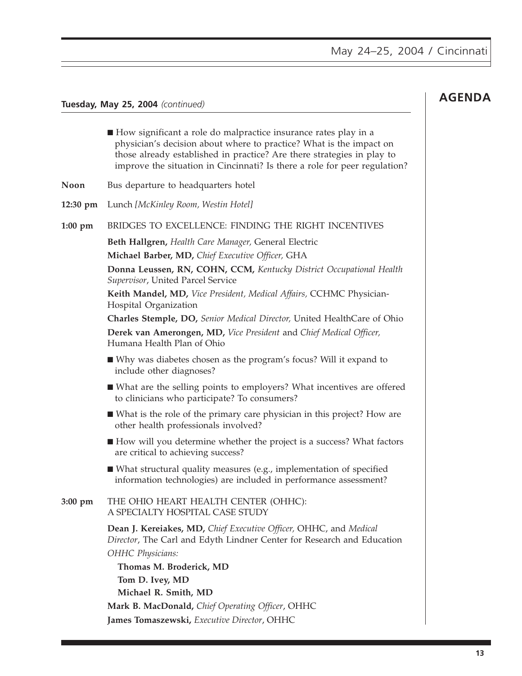**AGENDA**

#### **Tuesday, May 25, 2004** *(continued)*

| How significant a role do malpractice insurance rates play in a           |
|---------------------------------------------------------------------------|
| physician's decision about where to practice? What is the impact on       |
| those already established in practice? Are there strategies in play to    |
| improve the situation in Cincinnati? Is there a role for peer regulation? |

- **Noon** Bus departure to headquarters hotel
- **12:30 pm** Lunch *[McKinley Room, Westin Hotel]*

#### **1:00 pm** BRIDGES TO EXCELLENCE: FINDING THE RIGHT INCENTIVES

**Beth Hallgren,** *Health Care Manager,* General Electric

**Michael Barber, MD,** *Chief Executive Officer,* GHA

**Donna Leussen, RN, COHN, CCM,** *Kentucky District Occupational Health Supervisor*, United Parcel Service

**Keith Mandel, MD,** *Vice President, Medical Affairs,* CCHMC Physician-Hospital Organization

**Charles Stemple, DO,** *Senior Medical Director,* United HealthCare of Ohio

**Derek van Amerongen, MD,** *Vice President* and *Chief Medical Officer,* Humana Health Plan of Ohio

- Why was diabetes chosen as the program's focus? Will it expand to include other diagnoses?
- What are the selling points to employers? What incentives are offered to clinicians who participate? To consumers?
- What is the role of the primary care physician in this project? How are other health professionals involved?
- How will you determine whether the project is a success? What factors are critical to achieving success?
- What structural quality measures (e.g., implementation of specified information technologies) are included in performance assessment?

#### **3:00 pm** THE OHIO HEART HEALTH CENTER (OHHC): A SPECIALTY HOSPITAL CASE STUDY

**Dean J. Kereiakes, MD,** *Chief Executive Officer,* OHHC, and *Medical Director*, The Carl and Edyth Lindner Center for Research and Education *OHHC Physicians:*

**Thomas M. Broderick, MD Tom D. Ivey, MD Michael R. Smith, MD Mark B. MacDonald,** *Chief Operating Officer*, OHHC **James Tomaszewski,** *Executive Director*, OHHC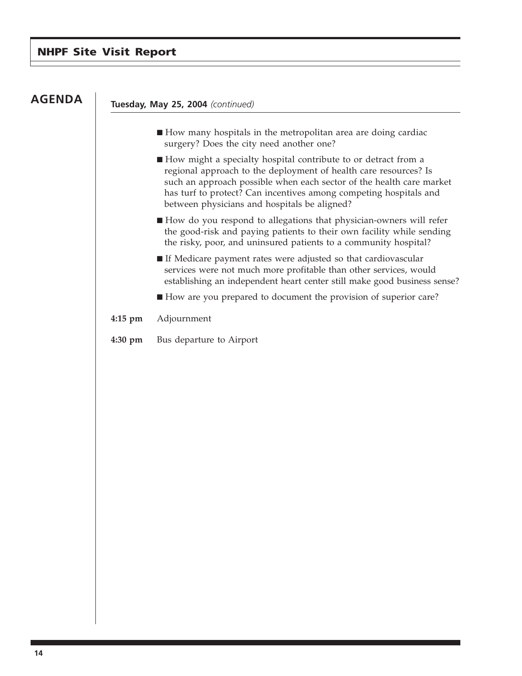#### **NHPF Site Visit Report**

#### **AGENDA**

#### **Tuesday, May 25, 2004** *(continued)*

- How many hospitals in the metropolitan area are doing cardiac surgery? Does the city need another one?
- How might a specialty hospital contribute to or detract from a regional approach to the deployment of health care resources? Is such an approach possible when each sector of the health care market has turf to protect? Can incentives among competing hospitals and between physicians and hospitals be aligned?
- How do you respond to allegations that physician-owners will refer the good-risk and paying patients to their own facility while sending the risky, poor, and uninsured patients to a community hospital?
- If Medicare payment rates were adjusted so that cardiovascular services were not much more profitable than other services, would establishing an independent heart center still make good business sense?
- How are you prepared to document the provision of superior care?
- **4:15 pm** Adjournment
- **4:30 pm** Bus departure to Airport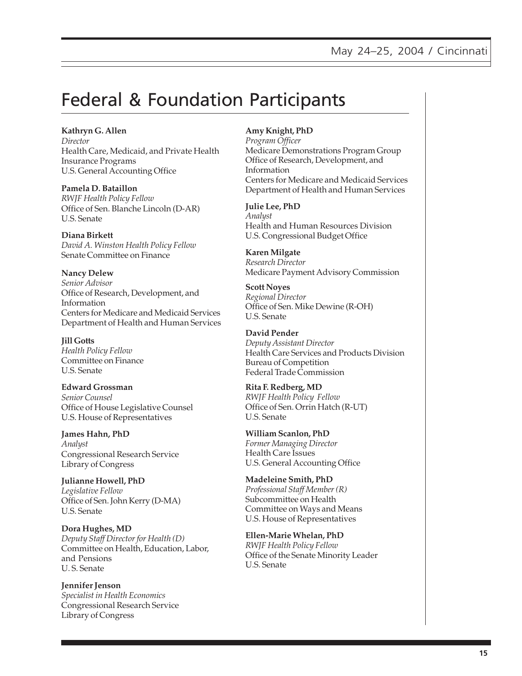# Federal & Foundation Participants

**Kathryn G. Allen** *Director* Health Care, Medicaid, and Private Health Insurance Programs U.S. General Accounting Office

**Pamela D. Bataillon** *RWJF Health Policy Fellow* Office of Sen. Blanche Lincoln (D-AR) U.S. Senate

**Diana Birkett** *David A. Winston Health Policy Fellow* Senate Committee on Finance

**Nancy Delew** *Senior Advisor* Office of Research, Development, and Information Centers for Medicare and Medicaid Services Department of Health and Human Services

**Jill Gotts** *Health Policy Fellow* Committee on Finance U.S. Senate

**Edward Grossman** *Senior Counsel* Office of House Legislative Counsel U.S. House of Representatives

**James Hahn, PhD** *Analyst* Congressional Research Service Library of Congress

**Julianne Howell, PhD** *Legislative Fellow* Office of Sen. John Kerry (D-MA) U.S. Senate

**Dora Hughes, MD** *Deputy Staff Director for Health (D)* Committee on Health, Education, Labor, and Pensions U. S. Senate

**Jennifer Jenson** *Specialist in Health Economics* Congressional Research Service Library of Congress

**Amy Knight, PhD**

*Program Officer* Medicare Demonstrations Program Group Office of Research, Development, and Information Centers for Medicare and Medicaid Services Department of Health and Human Services

**Julie Lee, PhD** *Analyst* Health and Human Resources Division U.S. Congressional Budget Office

**Karen Milgate** *Research Director* Medicare Payment Advisory Commission

**Scott Noyes** *Regional Director* Office of Sen. Mike Dewine (R-OH) U.S. Senate

**David Pender** *Deputy Assistant Director* Health Care Services and Products Division Bureau of Competition Federal Trade Commission

**Rita F. Redberg, MD** *RWJF Health Policy Fellow* Office of Sen. Orrin Hatch (R-UT) U.S. Senate

**William Scanlon, PhD** *Former Managing Director* Health Care Issues U.S. General Accounting Office

**Madeleine Smith, PhD** *Professional Staff Member (R)* Subcommittee on Health Committee on Ways and Means U.S. House of Representatives

**Ellen-Marie Whelan, PhD** *RWJF Health Policy Fellow* Office of the Senate Minority Leader U.S. Senate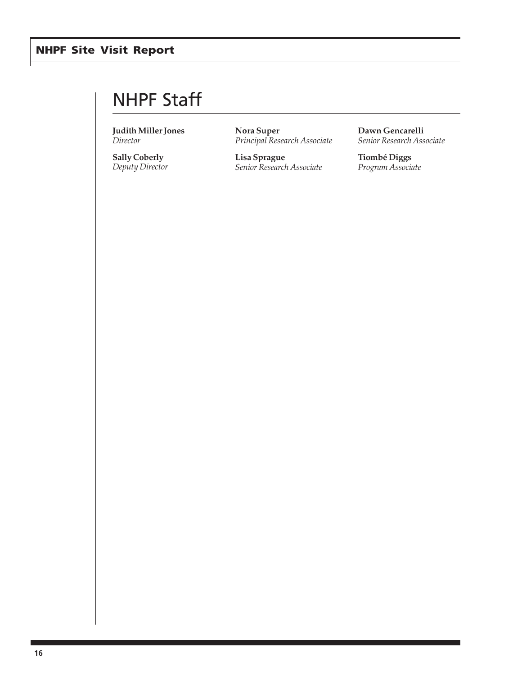# NHPF Staff

**Judith Miller Jones** *Director*

**Sally Coberly** *Deputy Director* **Nora Super** *Principal Research Associate*

**Lisa Sprague** *Senior Research Associate* **Dawn Gencarelli** *Senior Research Associate*

**Tiombé Diggs** *Program Associate*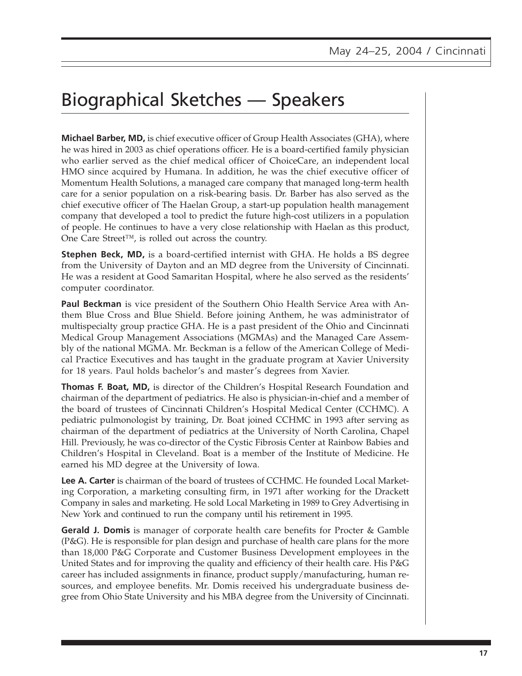**Michael Barber, MD,** is chief executive officer of Group Health Associates (GHA), where he was hired in 2003 as chief operations officer. He is a board-certified family physician who earlier served as the chief medical officer of ChoiceCare, an independent local HMO since acquired by Humana. In addition, he was the chief executive officer of Momentum Health Solutions, a managed care company that managed long-term health care for a senior population on a risk-bearing basis. Dr. Barber has also served as the chief executive officer of The Haelan Group, a start-up population health management company that developed a tool to predict the future high-cost utilizers in a population of people. He continues to have a very close relationship with Haelan as this product, One Care Street™, is rolled out across the country.

**Stephen Beck, MD,** is a board-certified internist with GHA. He holds a BS degree from the University of Dayton and an MD degree from the University of Cincinnati. He was a resident at Good Samaritan Hospital, where he also served as the residents' computer coordinator.

**Paul Beckman** is vice president of the Southern Ohio Health Service Area with Anthem Blue Cross and Blue Shield. Before joining Anthem, he was administrator of multispecialty group practice GHA. He is a past president of the Ohio and Cincinnati Medical Group Management Associations (MGMAs) and the Managed Care Assembly of the national MGMA. Mr. Beckman is a fellow of the American College of Medical Practice Executives and has taught in the graduate program at Xavier University for 18 years. Paul holds bachelor's and master's degrees from Xavier.

**Thomas F. Boat, MD,** is director of the Children's Hospital Research Foundation and chairman of the department of pediatrics. He also is physician-in-chief and a member of the board of trustees of Cincinnati Children's Hospital Medical Center (CCHMC). A pediatric pulmonologist by training, Dr. Boat joined CCHMC in 1993 after serving as chairman of the department of pediatrics at the University of North Carolina, Chapel Hill. Previously, he was co-director of the Cystic Fibrosis Center at Rainbow Babies and Children's Hospital in Cleveland. Boat is a member of the Institute of Medicine. He earned his MD degree at the University of Iowa.

**Lee A. Carter** is chairman of the board of trustees of CCHMC. He founded Local Marketing Corporation, a marketing consulting firm, in 1971 after working for the Drackett Company in sales and marketing. He sold Local Marketing in 1989 to Grey Advertising in New York and continued to run the company until his retirement in 1995.

**Gerald J. Domis** is manager of corporate health care benefits for Procter & Gamble (P&G). He is responsible for plan design and purchase of health care plans for the more than 18,000 P&G Corporate and Customer Business Development employees in the United States and for improving the quality and efficiency of their health care. His P&G career has included assignments in finance, product supply/manufacturing, human resources, and employee benefits. Mr. Domis received his undergraduate business degree from Ohio State University and his MBA degree from the University of Cincinnati.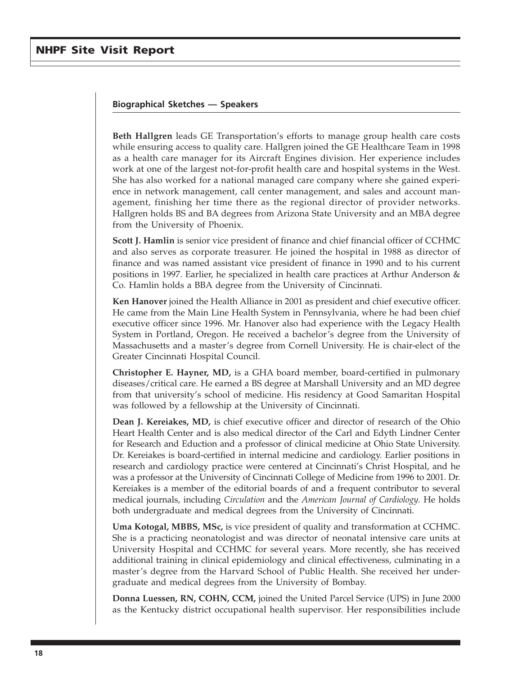**Beth Hallgren** leads GE Transportation's efforts to manage group health care costs while ensuring access to quality care. Hallgren joined the GE Healthcare Team in 1998 as a health care manager for its Aircraft Engines division. Her experience includes work at one of the largest not-for-profit health care and hospital systems in the West. She has also worked for a national managed care company where she gained experience in network management, call center management, and sales and account management, finishing her time there as the regional director of provider networks. Hallgren holds BS and BA degrees from Arizona State University and an MBA degree from the University of Phoenix.

**Scott J. Hamlin** is senior vice president of finance and chief financial officer of CCHMC and also serves as corporate treasurer. He joined the hospital in 1988 as director of finance and was named assistant vice president of finance in 1990 and to his current positions in 1997. Earlier, he specialized in health care practices at Arthur Anderson & Co. Hamlin holds a BBA degree from the University of Cincinnati.

**Ken Hanover** joined the Health Alliance in 2001 as president and chief executive officer. He came from the Main Line Health System in Pennsylvania, where he had been chief executive officer since 1996. Mr. Hanover also had experience with the Legacy Health System in Portland, Oregon. He received a bachelor's degree from the University of Massachusetts and a master's degree from Cornell University. He is chair-elect of the Greater Cincinnati Hospital Council.

**Christopher E. Hayner, MD,** is a GHA board member, board-certified in pulmonary diseases/critical care. He earned a BS degree at Marshall University and an MD degree from that university's school of medicine. His residency at Good Samaritan Hospital was followed by a fellowship at the University of Cincinnati.

**Dean J. Kereiakes, MD,** is chief executive officer and director of research of the Ohio Heart Health Center and is also medical director of the Carl and Edyth Lindner Center for Research and Eduction and a professor of clinical medicine at Ohio State University. Dr. Kereiakes is board-certified in internal medicine and cardiology. Earlier positions in research and cardiology practice were centered at Cincinnati's Christ Hospital, and he was a professor at the University of Cincinnati College of Medicine from 1996 to 2001. Dr. Kereiakes is a member of the editorial boards of and a frequent contributor to several medical journals, including *Circulation* and the *American Journal of Cardiology.* He holds both undergraduate and medical degrees from the University of Cincinnati.

**Uma Kotogal, MBBS, MSc,** is vice president of quality and transformation at CCHMC. She is a practicing neonatologist and was director of neonatal intensive care units at University Hospital and CCHMC for several years. More recently, she has received additional training in clinical epidemiology and clinical effectiveness, culminating in a master's degree from the Harvard School of Public Health. She received her undergraduate and medical degrees from the University of Bombay.

**Donna Luessen, RN, COHN, CCM,** joined the United Parcel Service (UPS) in June 2000 as the Kentucky district occupational health supervisor. Her responsibilities include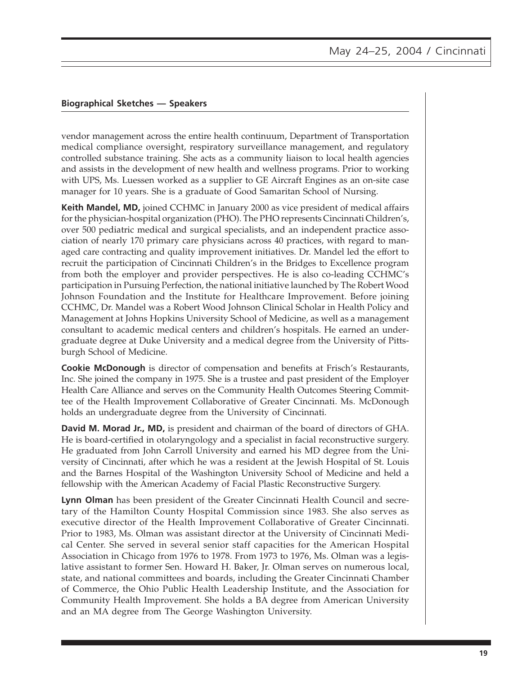vendor management across the entire health continuum, Department of Transportation medical compliance oversight, respiratory surveillance management, and regulatory controlled substance training. She acts as a community liaison to local health agencies and assists in the development of new health and wellness programs. Prior to working with UPS, Ms. Luessen worked as a supplier to GE Aircraft Engines as an on-site case manager for 10 years. She is a graduate of Good Samaritan School of Nursing.

**Keith Mandel, MD,** joined CCHMC in January 2000 as vice president of medical affairs for the physician-hospital organization (PHO). The PHO represents Cincinnati Children's, over 500 pediatric medical and surgical specialists, and an independent practice association of nearly 170 primary care physicians across 40 practices, with regard to managed care contracting and quality improvement initiatives. Dr. Mandel led the effort to recruit the participation of Cincinnati Children's in the Bridges to Excellence program from both the employer and provider perspectives. He is also co-leading CCHMC's participation in Pursuing Perfection, the national initiative launched by The Robert Wood Johnson Foundation and the Institute for Healthcare Improvement. Before joining CCHMC, Dr. Mandel was a Robert Wood Johnson Clinical Scholar in Health Policy and Management at Johns Hopkins University School of Medicine, as well as a management consultant to academic medical centers and children's hospitals. He earned an undergraduate degree at Duke University and a medical degree from the University of Pittsburgh School of Medicine.

**Cookie McDonough** is director of compensation and benefits at Frisch's Restaurants, Inc. She joined the company in 1975. She is a trustee and past president of the Employer Health Care Alliance and serves on the Community Health Outcomes Steering Committee of the Health Improvement Collaborative of Greater Cincinnati. Ms. McDonough holds an undergraduate degree from the University of Cincinnati.

**David M. Morad Jr., MD,** is president and chairman of the board of directors of GHA. He is board-certified in otolaryngology and a specialist in facial reconstructive surgery. He graduated from John Carroll University and earned his MD degree from the University of Cincinnati, after which he was a resident at the Jewish Hospital of St. Louis and the Barnes Hospital of the Washington University School of Medicine and held a fellowship with the American Academy of Facial Plastic Reconstructive Surgery.

**Lynn Olman** has been president of the Greater Cincinnati Health Council and secretary of the Hamilton County Hospital Commission since 1983. She also serves as executive director of the Health Improvement Collaborative of Greater Cincinnati. Prior to 1983, Ms. Olman was assistant director at the University of Cincinnati Medical Center. She served in several senior staff capacities for the American Hospital Association in Chicago from 1976 to 1978. From 1973 to 1976, Ms. Olman was a legislative assistant to former Sen. Howard H. Baker, Jr. Olman serves on numerous local, state, and national committees and boards, including the Greater Cincinnati Chamber of Commerce, the Ohio Public Health Leadership Institute, and the Association for Community Health Improvement. She holds a BA degree from American University and an MA degree from The George Washington University.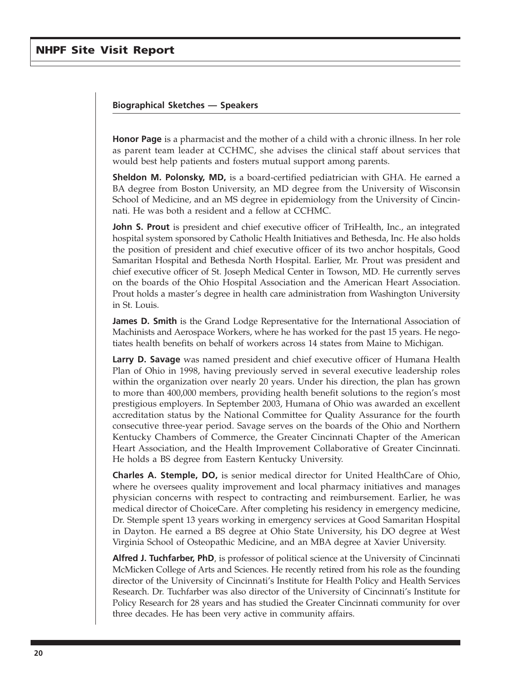**Honor Page** is a pharmacist and the mother of a child with a chronic illness. In her role as parent team leader at CCHMC, she advises the clinical staff about services that would best help patients and fosters mutual support among parents.

**Sheldon M. Polonsky, MD,** is a board-certified pediatrician with GHA. He earned a BA degree from Boston University, an MD degree from the University of Wisconsin School of Medicine, and an MS degree in epidemiology from the University of Cincinnati. He was both a resident and a fellow at CCHMC.

**John S. Prout** is president and chief executive officer of TriHealth, Inc., an integrated hospital system sponsored by Catholic Health Initiatives and Bethesda, Inc. He also holds the position of president and chief executive officer of its two anchor hospitals, Good Samaritan Hospital and Bethesda North Hospital. Earlier, Mr. Prout was president and chief executive officer of St. Joseph Medical Center in Towson, MD. He currently serves on the boards of the Ohio Hospital Association and the American Heart Association. Prout holds a master's degree in health care administration from Washington University in St. Louis.

**James D. Smith** is the Grand Lodge Representative for the International Association of Machinists and Aerospace Workers, where he has worked for the past 15 years. He negotiates health benefits on behalf of workers across 14 states from Maine to Michigan.

**Larry D. Savage** was named president and chief executive officer of Humana Health Plan of Ohio in 1998, having previously served in several executive leadership roles within the organization over nearly 20 years. Under his direction, the plan has grown to more than 400,000 members, providing health benefit solutions to the region's most prestigious employers. In September 2003, Humana of Ohio was awarded an excellent accreditation status by the National Committee for Quality Assurance for the fourth consecutive three-year period. Savage serves on the boards of the Ohio and Northern Kentucky Chambers of Commerce, the Greater Cincinnati Chapter of the American Heart Association, and the Health Improvement Collaborative of Greater Cincinnati. He holds a BS degree from Eastern Kentucky University.

**Charles A. Stemple, DO,** is senior medical director for United HealthCare of Ohio, where he oversees quality improvement and local pharmacy initiatives and manages physician concerns with respect to contracting and reimbursement. Earlier, he was medical director of ChoiceCare. After completing his residency in emergency medicine, Dr. Stemple spent 13 years working in emergency services at Good Samaritan Hospital in Dayton. He earned a BS degree at Ohio State University, his DO degree at West Virginia School of Osteopathic Medicine, and an MBA degree at Xavier University.

**Alfred J. Tuchfarber, PhD**, is professor of political science at the University of Cincinnati McMicken College of Arts and Sciences. He recently retired from his role as the founding director of the University of Cincinnati's Institute for Health Policy and Health Services Research. Dr. Tuchfarber was also director of the University of Cincinnati's Institute for Policy Research for 28 years and has studied the Greater Cincinnati community for over three decades. He has been very active in community affairs.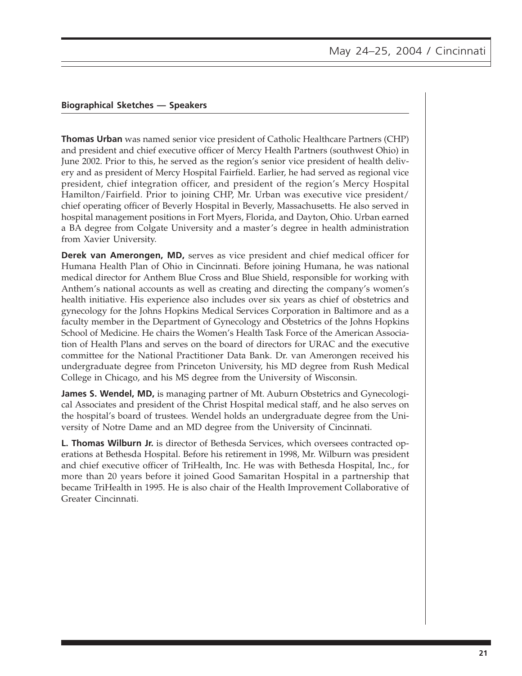**Thomas Urban** was named senior vice president of Catholic Healthcare Partners (CHP) and president and chief executive officer of Mercy Health Partners (southwest Ohio) in June 2002. Prior to this, he served as the region's senior vice president of health delivery and as president of Mercy Hospital Fairfield. Earlier, he had served as regional vice president, chief integration officer, and president of the region's Mercy Hospital Hamilton/Fairfield. Prior to joining CHP, Mr. Urban was executive vice president/ chief operating officer of Beverly Hospital in Beverly, Massachusetts. He also served in hospital management positions in Fort Myers, Florida, and Dayton, Ohio. Urban earned a BA degree from Colgate University and a master's degree in health administration from Xavier University.

**Derek van Amerongen, MD,** serves as vice president and chief medical officer for Humana Health Plan of Ohio in Cincinnati. Before joining Humana, he was national medical director for Anthem Blue Cross and Blue Shield, responsible for working with Anthem's national accounts as well as creating and directing the company's women's health initiative. His experience also includes over six years as chief of obstetrics and gynecology for the Johns Hopkins Medical Services Corporation in Baltimore and as a faculty member in the Department of Gynecology and Obstetrics of the Johns Hopkins School of Medicine. He chairs the Women's Health Task Force of the American Association of Health Plans and serves on the board of directors for URAC and the executive committee for the National Practitioner Data Bank. Dr. van Amerongen received his undergraduate degree from Princeton University, his MD degree from Rush Medical College in Chicago, and his MS degree from the University of Wisconsin.

**James S. Wendel, MD,** is managing partner of Mt. Auburn Obstetrics and Gynecological Associates and president of the Christ Hospital medical staff, and he also serves on the hospital's board of trustees. Wendel holds an undergraduate degree from the University of Notre Dame and an MD degree from the University of Cincinnati.

**L. Thomas Wilburn Jr.** is director of Bethesda Services, which oversees contracted operations at Bethesda Hospital. Before his retirement in 1998, Mr. Wilburn was president and chief executive officer of TriHealth, Inc. He was with Bethesda Hospital, Inc., for more than 20 years before it joined Good Samaritan Hospital in a partnership that became TriHealth in 1995. He is also chair of the Health Improvement Collaborative of Greater Cincinnati.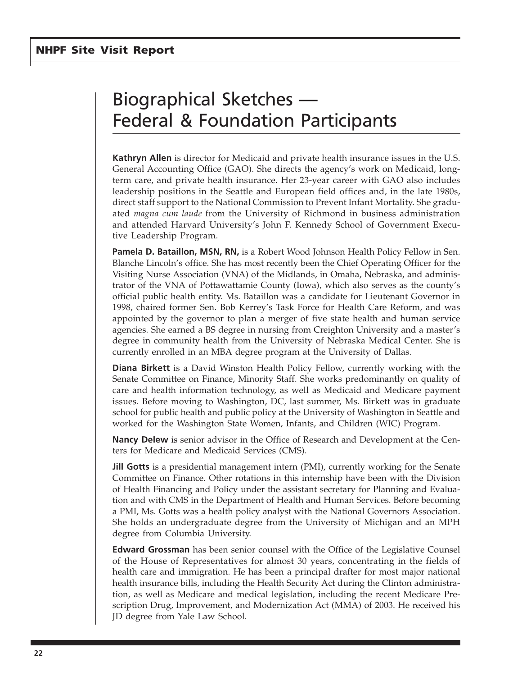# Biographical Sketches — Federal & Foundation Participants

**Kathryn Allen** is director for Medicaid and private health insurance issues in the U.S. General Accounting Office (GAO). She directs the agency's work on Medicaid, longterm care, and private health insurance. Her 23-year career with GAO also includes leadership positions in the Seattle and European field offices and, in the late 1980s, direct staff support to the National Commission to Prevent Infant Mortality. She graduated *magna cum laude* from the University of Richmond in business administration and attended Harvard University's John F. Kennedy School of Government Executive Leadership Program.

**Pamela D. Bataillon, MSN, RN,** is a Robert Wood Johnson Health Policy Fellow in Sen. Blanche Lincoln's office. She has most recently been the Chief Operating Officer for the Visiting Nurse Association (VNA) of the Midlands, in Omaha, Nebraska, and administrator of the VNA of Pottawattamie County (Iowa), which also serves as the county's official public health entity. Ms. Bataillon was a candidate for Lieutenant Governor in 1998, chaired former Sen. Bob Kerrey's Task Force for Health Care Reform, and was appointed by the governor to plan a merger of five state health and human service agencies. She earned a BS degree in nursing from Creighton University and a master's degree in community health from the University of Nebraska Medical Center. She is currently enrolled in an MBA degree program at the University of Dallas.

**Diana Birkett** is a David Winston Health Policy Fellow, currently working with the Senate Committee on Finance, Minority Staff. She works predominantly on quality of care and health information technology, as well as Medicaid and Medicare payment issues. Before moving to Washington, DC, last summer, Ms. Birkett was in graduate school for public health and public policy at the University of Washington in Seattle and worked for the Washington State Women, Infants, and Children (WIC) Program.

**Nancy Delew** is senior advisor in the Office of Research and Development at the Centers for Medicare and Medicaid Services (CMS).

**Jill Gotts** is a presidential management intern (PMI), currently working for the Senate Committee on Finance. Other rotations in this internship have been with the Division of Health Financing and Policy under the assistant secretary for Planning and Evaluation and with CMS in the Department of Health and Human Services. Before becoming a PMI, Ms. Gotts was a health policy analyst with the National Governors Association. She holds an undergraduate degree from the University of Michigan and an MPH degree from Columbia University.

**Edward Grossman** has been senior counsel with the Office of the Legislative Counsel of the House of Representatives for almost 30 years, concentrating in the fields of health care and immigration. He has been a principal drafter for most major national health insurance bills, including the Health Security Act during the Clinton administration, as well as Medicare and medical legislation, including the recent Medicare Prescription Drug, Improvement, and Modernization Act (MMA) of 2003. He received his JD degree from Yale Law School.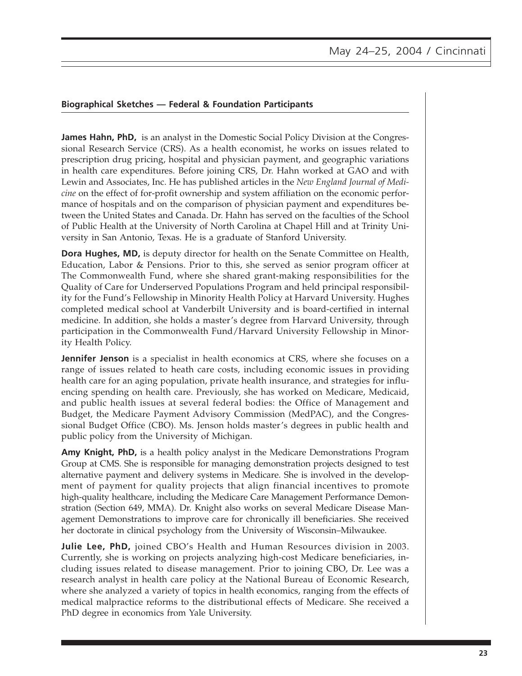#### **Biographical Sketches — Federal & Foundation Participants**

**James Hahn, PhD,** is an analyst in the Domestic Social Policy Division at the Congressional Research Service (CRS). As a health economist, he works on issues related to prescription drug pricing, hospital and physician payment, and geographic variations in health care expenditures. Before joining CRS, Dr. Hahn worked at GAO and with Lewin and Associates, Inc. He has published articles in the *New England Journal of Medicine* on the effect of for-profit ownership and system affiliation on the economic performance of hospitals and on the comparison of physician payment and expenditures between the United States and Canada. Dr. Hahn has served on the faculties of the School of Public Health at the University of North Carolina at Chapel Hill and at Trinity University in San Antonio, Texas. He is a graduate of Stanford University.

**Dora Hughes, MD,** is deputy director for health on the Senate Committee on Health, Education, Labor & Pensions. Prior to this, she served as senior program officer at The Commonwealth Fund, where she shared grant-making responsibilities for the Quality of Care for Underserved Populations Program and held principal responsibility for the Fund's Fellowship in Minority Health Policy at Harvard University. Hughes completed medical school at Vanderbilt University and is board-certified in internal medicine. In addition, she holds a master's degree from Harvard University, through participation in the Commonwealth Fund/Harvard University Fellowship in Minority Health Policy.

**Jennifer Jenson** is a specialist in health economics at CRS, where she focuses on a range of issues related to heath care costs, including economic issues in providing health care for an aging population, private health insurance, and strategies for influencing spending on health care. Previously, she has worked on Medicare, Medicaid, and public health issues at several federal bodies: the Office of Management and Budget, the Medicare Payment Advisory Commission (MedPAC), and the Congressional Budget Office (CBO). Ms. Jenson holds master's degrees in public health and public policy from the University of Michigan.

**Amy Knight, PhD,** is a health policy analyst in the Medicare Demonstrations Program Group at CMS. She is responsible for managing demonstration projects designed to test alternative payment and delivery systems in Medicare. She is involved in the development of payment for quality projects that align financial incentives to promote high-quality healthcare, including the Medicare Care Management Performance Demonstration (Section 649, MMA). Dr. Knight also works on several Medicare Disease Management Demonstrations to improve care for chronically ill beneficiaries. She received her doctorate in clinical psychology from the University of Wisconsin–Milwaukee.

**Julie Lee, PhD,** joined CBO's Health and Human Resources division in 2003. Currently, she is working on projects analyzing high-cost Medicare beneficiaries, including issues related to disease management. Prior to joining CBO, Dr. Lee was a research analyst in health care policy at the National Bureau of Economic Research, where she analyzed a variety of topics in health economics, ranging from the effects of medical malpractice reforms to the distributional effects of Medicare. She received a PhD degree in economics from Yale University.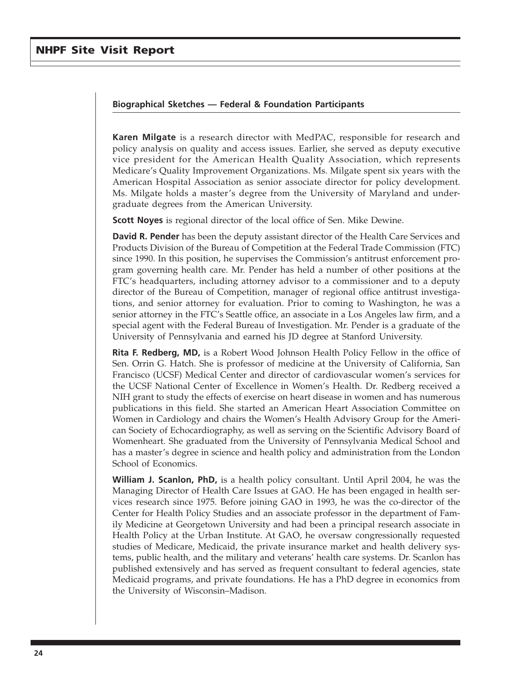#### **Biographical Sketches — Federal & Foundation Participants**

**Karen Milgate** is a research director with MedPAC, responsible for research and policy analysis on quality and access issues. Earlier, she served as deputy executive vice president for the American Health Quality Association, which represents Medicare's Quality Improvement Organizations. Ms. Milgate spent six years with the American Hospital Association as senior associate director for policy development. Ms. Milgate holds a master's degree from the University of Maryland and undergraduate degrees from the American University.

**Scott Noyes** is regional director of the local office of Sen. Mike Dewine.

**David R. Pender** has been the deputy assistant director of the Health Care Services and Products Division of the Bureau of Competition at the Federal Trade Commission (FTC) since 1990. In this position, he supervises the Commission's antitrust enforcement program governing health care. Mr. Pender has held a number of other positions at the FTC's headquarters, including attorney advisor to a commissioner and to a deputy director of the Bureau of Competition, manager of regional office antitrust investigations, and senior attorney for evaluation. Prior to coming to Washington, he was a senior attorney in the FTC's Seattle office, an associate in a Los Angeles law firm, and a special agent with the Federal Bureau of Investigation. Mr. Pender is a graduate of the University of Pennsylvania and earned his JD degree at Stanford University.

**Rita F. Redberg, MD,** is a Robert Wood Johnson Health Policy Fellow in the office of Sen. Orrin G. Hatch. She is professor of medicine at the University of California, San Francisco (UCSF) Medical Center and director of cardiovascular women's services for the UCSF National Center of Excellence in Women's Health. Dr. Redberg received a NIH grant to study the effects of exercise on heart disease in women and has numerous publications in this field. She started an American Heart Association Committee on Women in Cardiology and chairs the Women's Health Advisory Group for the American Society of Echocardiography, as well as serving on the Scientific Advisory Board of Womenheart. She graduated from the University of Pennsylvania Medical School and has a master's degree in science and health policy and administration from the London School of Economics.

**William J. Scanlon, PhD,** is a health policy consultant. Until April 2004, he was the Managing Director of Health Care Issues at GAO. He has been engaged in health services research since 1975. Before joining GAO in 1993, he was the co-director of the Center for Health Policy Studies and an associate professor in the department of Family Medicine at Georgetown University and had been a principal research associate in Health Policy at the Urban Institute. At GAO, he oversaw congressionally requested studies of Medicare, Medicaid, the private insurance market and health delivery systems, public health, and the military and veterans' health care systems. Dr. Scanlon has published extensively and has served as frequent consultant to federal agencies, state Medicaid programs, and private foundations. He has a PhD degree in economics from the University of Wisconsin–Madison.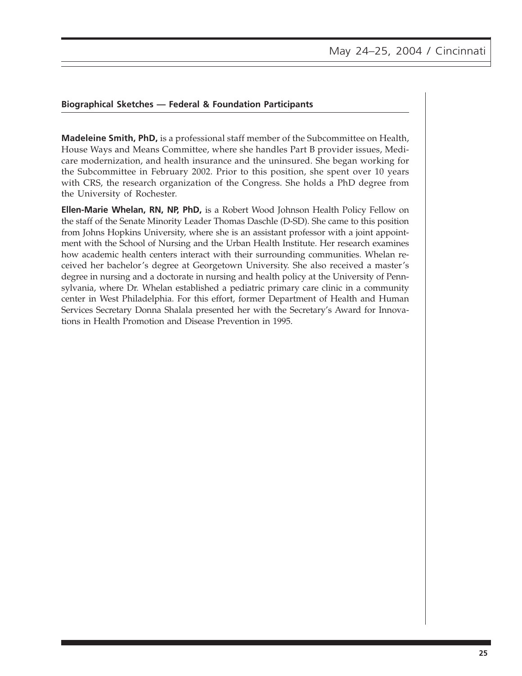#### **Biographical Sketches — Federal & Foundation Participants**

**Madeleine Smith, PhD,** is a professional staff member of the Subcommittee on Health, House Ways and Means Committee, where she handles Part B provider issues, Medicare modernization, and health insurance and the uninsured. She began working for the Subcommittee in February 2002. Prior to this position, she spent over 10 years with CRS, the research organization of the Congress. She holds a PhD degree from the University of Rochester.

**Ellen-Marie Whelan, RN, NP, PhD,** is a Robert Wood Johnson Health Policy Fellow on the staff of the Senate Minority Leader Thomas Daschle (D-SD). She came to this position from Johns Hopkins University, where she is an assistant professor with a joint appointment with the School of Nursing and the Urban Health Institute. Her research examines how academic health centers interact with their surrounding communities. Whelan received her bachelor's degree at Georgetown University. She also received a master's degree in nursing and a doctorate in nursing and health policy at the University of Pennsylvania, where Dr. Whelan established a pediatric primary care clinic in a community center in West Philadelphia. For this effort, former Department of Health and Human Services Secretary Donna Shalala presented her with the Secretary's Award for Innovations in Health Promotion and Disease Prevention in 1995.